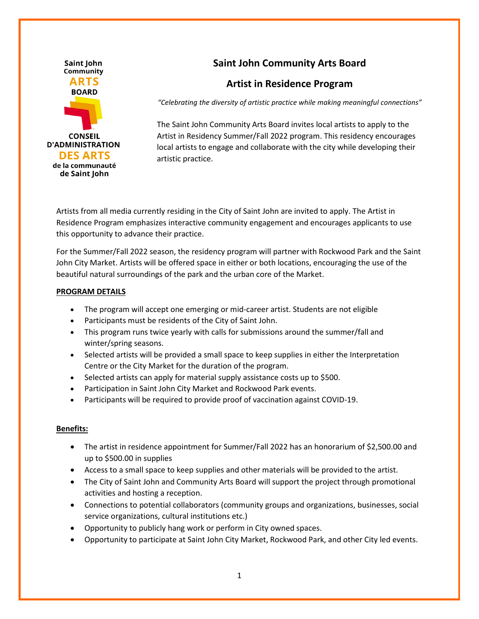

# **Saint John Community Arts Board**

# **Artist in Residence Program**

*"Celebrating the diversity of artistic practice while making meaningful connections"*

The Saint John Community Arts Board invites local artists to apply to the Artist in Residency Summer/Fall 2022 program. This residency encourages local artists to engage and collaborate with the city while developing their artistic practice.

Artists from all media currently residing in the City of Saint John are invited to apply. The Artist in Residence Program emphasizes interactive community engagement and encourages applicants to use this opportunity to advance their practice.

For the Summer/Fall 2022 season, the residency program will partner with Rockwood Park and the Saint John City Market. Artists will be offered space in either or both locations, encouraging the use of the beautiful natural surroundings of the park and the urban core of the Market.

## **PROGRAM DETAILS**

- The program will accept one emerging or mid-career artist. Students are not eligible
- Participants must be residents of the City of Saint John.
- This program runs twice yearly with calls for submissions around the summer/fall and winter/spring seasons.
- Selected artists will be provided a small space to keep supplies in either the Interpretation Centre or the City Market for the duration of the program.
- Selected artists can apply for material supply assistance costs up to \$500.
- Participation in Saint John City Market and Rockwood Park events.
- Participants will be required to provide proof of vaccination against COVID-19.

#### **Benefits:**

- The artist in residence appointment for Summer/Fall 2022 has an honorarium of \$2,500.00 and up to \$500.00 in supplies
- Access to a small space to keep supplies and other materials will be provided to the artist.
- The City of Saint John and Community Arts Board will support the project through promotional activities and hosting a reception.
- Connections to potential collaborators (community groups and organizations, businesses, social service organizations, cultural institutions etc.)
- Opportunity to publicly hang work or perform in City owned spaces.
- Opportunity to participate at Saint John City Market, Rockwood Park, and other City led events.